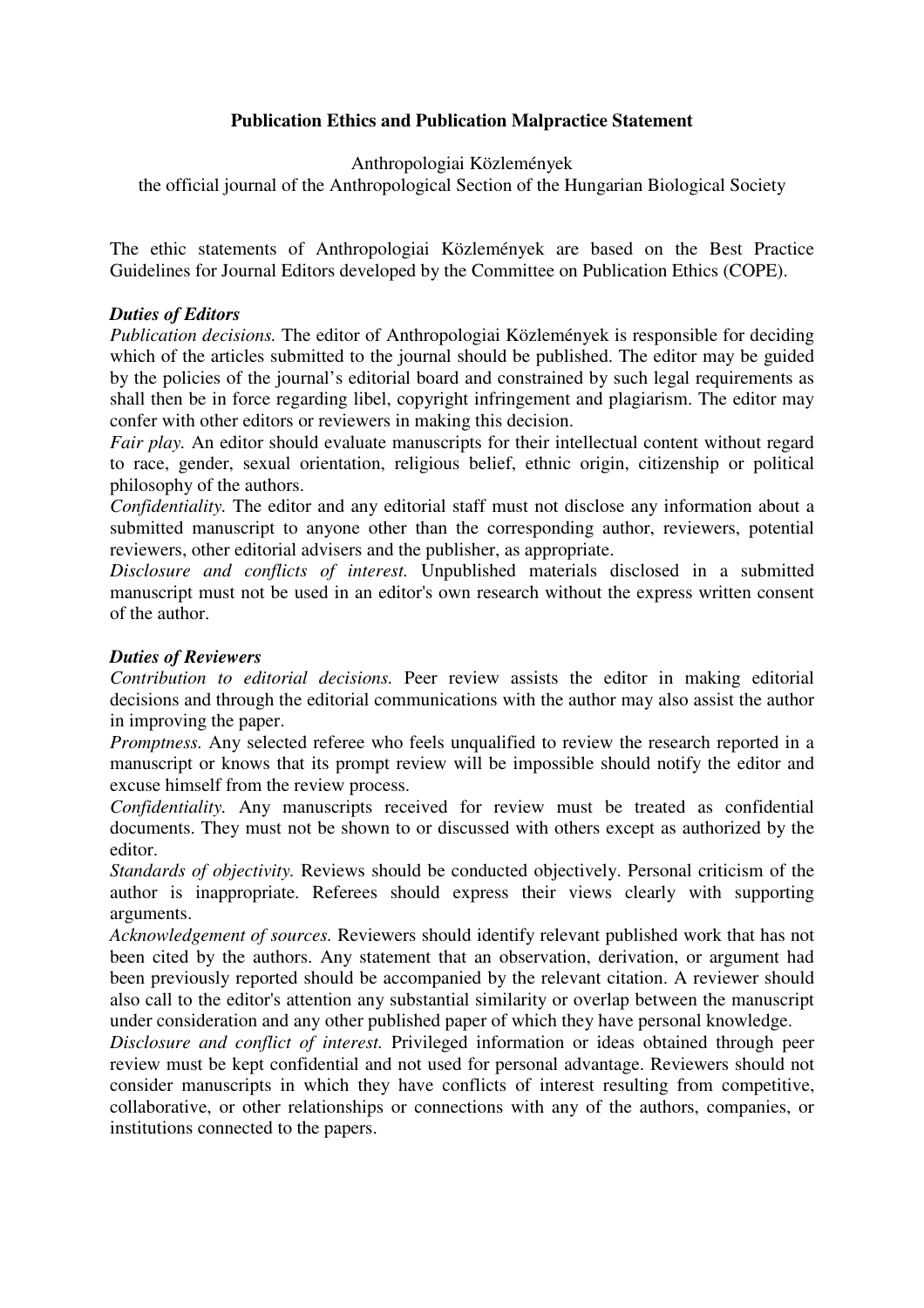## **Publication Ethics and Publication Malpractice Statement**

Anthropologiai Közlemények

the official journal of the Anthropological Section of the Hungarian Biological Society

The ethic statements of Anthropologiai Közlemények are based on the Best Practice Guidelines for Journal Editors developed by the Committee on Publication Ethics (COPE).

## *Duties of Editors*

*Publication decisions.* The editor of Anthropologiai Közlemények is responsible for deciding which of the articles submitted to the journal should be published. The editor may be guided by the policies of the journal's editorial board and constrained by such legal requirements as shall then be in force regarding libel, copyright infringement and plagiarism. The editor may confer with other editors or reviewers in making this decision.

*Fair play.* An editor should evaluate manuscripts for their intellectual content without regard to race, gender, sexual orientation, religious belief, ethnic origin, citizenship or political philosophy of the authors.

*Confidentiality.* The editor and any editorial staff must not disclose any information about a submitted manuscript to anyone other than the corresponding author, reviewers, potential reviewers, other editorial advisers and the publisher, as appropriate.

*Disclosure and conflicts of interest.* Unpublished materials disclosed in a submitted manuscript must not be used in an editor's own research without the express written consent of the author.

## *Duties of Reviewers*

*Contribution to editorial decisions.* Peer review assists the editor in making editorial decisions and through the editorial communications with the author may also assist the author in improving the paper.

*Promptness.* Any selected referee who feels unqualified to review the research reported in a manuscript or knows that its prompt review will be impossible should notify the editor and excuse himself from the review process.

*Confidentiality.* Any manuscripts received for review must be treated as confidential documents. They must not be shown to or discussed with others except as authorized by the editor.

*Standards of objectivity.* Reviews should be conducted objectively. Personal criticism of the author is inappropriate. Referees should express their views clearly with supporting arguments.

*Acknowledgement of sources.* Reviewers should identify relevant published work that has not been cited by the authors. Any statement that an observation, derivation, or argument had been previously reported should be accompanied by the relevant citation. A reviewer should also call to the editor's attention any substantial similarity or overlap between the manuscript under consideration and any other published paper of which they have personal knowledge.

*Disclosure and conflict of interest.* Privileged information or ideas obtained through peer review must be kept confidential and not used for personal advantage. Reviewers should not consider manuscripts in which they have conflicts of interest resulting from competitive, collaborative, or other relationships or connections with any of the authors, companies, or institutions connected to the papers.